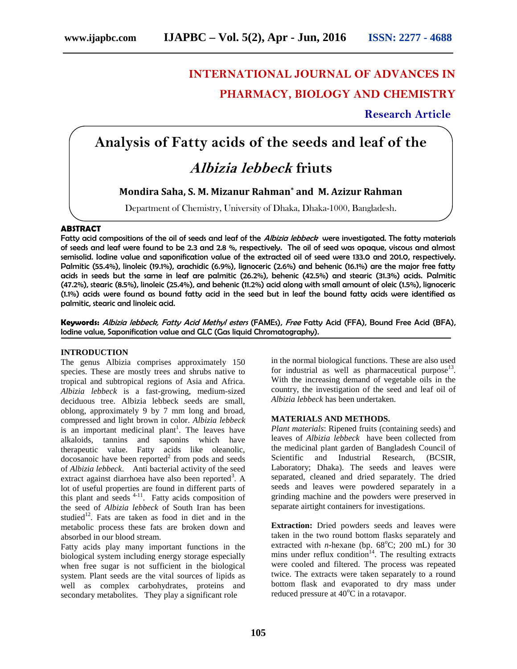## **INTERNATIONAL JOURNAL OF ADVANCES IN PHARMACY, BIOLOGY AND CHEMISTRY**

**Research Article**

# **Analysis of Fatty acids of the seeds and leaf of the** *Albizia lebbeck* **friuts**

**Mondira Saha, S. M. Mizanur Rahman\* and M. Azizur Rahman**

Department of Chemistry, University of Dhaka, Dhaka-1000, Bangladesh.

### **ABSTRACT**

Fatty acid compositions of the oil of seeds and leaf of the *Albizia lebbeck* were investigated. The fatty materials of seeds and leaf were found to be 2.3 and 2.8 %, respectively. The oil of seed was opaque, viscous and almost semisolid. Iodine value and saponification value of the extracted oil of seed were 133.0 and 201.0, respectively. Palmitic (55.4%), linoleic (19.1%), arachidic (6.9%), lignoceric (2.6%) and behenic (16.1%) are the major free fatty acids in seeds but the same in leaf are palmitic (26.2%), behenic (42.5%) and stearic (31.3%) acids. Palmitic (47.2%), stearic (8.5%), linoleic (25.4%), and behenic (11.2%) acid along with small amount of oleic (1.5%), lignoceric (1.1%) acids were found as bound fatty acid in the seed but in leaf the bound fatty acids were identified as palmitic, stearic and linoleic acid.

**Keywords:** *Albizia lebbeck, Fatty Acid Methyl esters* (FAMEs), *Free* Fatty Acid (FFA), Bound Free Acid (BFA), Iodine value, Saponification value and GLC (Gas liquid Chromatography).

#### **INTRODUCTION**

The genus Albizia comprises approximately 150 species. These are mostly trees and shrubs native to tropical and subtropical regions of Asia and Africa. *Albizia lebbeck* is a fast-growing, medium-sized deciduous tree. Albizia lebbeck seeds are small, oblong, approximately 9 by 7 mm long and broad, compressed and light brown in color. *Albizia lebbeck* is an important medicinal plant<sup>1</sup>. The leaves have alkaloids, tannins and saponins which have therapeutic value. Fatty acids like oleanolic,  $\alpha$  docosanoic have been reported<sup>2</sup> from pods and seeds of *Albizia lebbeck*. Anti bacterial activity of the seed extract against diarrhoea have also been reported<sup>3</sup>. A lot of useful properties are found in different parts of this plant and seeds  $4-11$ . Fatty acids composition of the seed of *Albizia lebbeck* of South Iran has been studied $12$ . Fats are taken as food in diet and in the metabolic process these fats are broken down and absorbed in our blood stream.

Fatty acids play many important functions in the biological system including energy storage especially when free sugar is not sufficient in the biological system. Plant seeds are the vital sources of lipids as well as complex carbohydrates, proteins and secondary metabolites. They play a significant role

in the normal biological functions. These are also used for industrial as well as pharmaceutical purpose $13$ . With the increasing demand of vegetable oils in the country, the investigation of the seed and leaf oil of *Albizia lebbeck* has been undertaken.

#### **MATERIALS AND METHODS.**

. A separated, cleaned and dried separately. The dried *Plant materials*: Ripened fruits (containing seeds) and leaves of *Albizia lebbeck* have been collected from the medicinal plant garden of Bangladesh Council of Scientific and Industrial Research, (BCSIR, Laboratory; Dhaka). The seeds and leaves were seeds and leaves were powdered separately in a grinding machine and the powders were preserved in separate airtight containers for investigations.

> **Extraction:** Dried powders seeds and leaves were taken in the two round bottom flasks separately and extracted with *n*-hexane (bp.  $68^{\circ}$ C; 200 mL) for 30 mins under reflux condition<sup>14</sup>. The resulting extracts were cooled and filtered. The process was repeated twice. The extracts were taken separately to a round bottom flask and evaporated to dry mass under reduced pressure at  $40^{\circ}$ C in a rotavapor.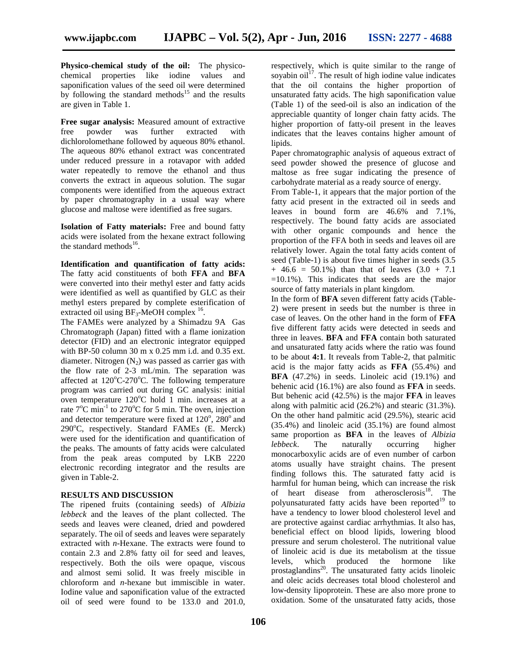**Physico-chemical study of the oil:** The physico chemical properties like iodine values and saponification values of the seed oil were determined by following the standard methods<sup>15</sup> and the results are given in Table 1.

**Free sugar analysis:** Measured amount of extractive free powder was further extracted with dichlorolomethane followed by aqueous 80% ethanol. The aqueous 80% ethanol extract was concentrated under reduced pressure in a rotavapor with added water repeatedly to remove the ethanol and thus converts the extract in aqueous solution. The sugar components were identified from the aqueous extract by paper chromatography in a usual way where glucose and maltose were identified as free sugars.

**Isolation of Fatty materials:** Free and bound fatty acids were isolated from the hexane extract following the standard methods<sup>16</sup>.

**Identification and quantification of fatty acids:** The fatty acid constituents of both **FFA** and **BFA** were converted into their methyl ester and fatty acids were identified as well as quantified by GLC as their methyl esters prepared by complete esterification of extracted oil using  $BF_3$ -MeOH complex  $^{16}$ .

The FAMEs were analyzed by a Shimadzu 9A Gas Chromatograph (Japan) fitted with a flame ionization detector (FID) and an electronic integrator equipped with BP-50 column 30 m x 0.25 mm i.d. and 0.35 ext. diameter. Nitrogen  $(N_2)$  was passed as carrier gas with the flow rate of 2-3 mL/min. The separation was affected at  $120^{\circ}$ C-270<sup>°</sup>C. The following temperature program was carried out during GC analysis: initial oven temperature  $120^{\circ}$ C hold 1 min. increases at a rate  $7^{\circ}$ C min<sup>-1</sup> to 270°C for 5 min. The oven, injection  $\frac{a}{c}$ and detector temperature were fixed at  $120^{\circ}$ ,  $280^{\circ}$  and  $290^{\circ}$ C, respectively. Standard FAMEs (E. Merck) were used for the identification and quantification of the peaks. The amounts of fatty acids were calculated lebbeck. from the peak areas computed by LKB 2220 electronic recording integrator and the results are given in Table-2.

#### **RESULTS AND DISCUSSION**

The ripened fruits (containing seeds) of *Albizia lebbeck* and the leaves of the plant collected. The seeds and leaves were cleaned, dried and powdered separately. The oil of seeds and leaves were separately extracted with *n*-Hexane. The extracts were found to contain 2.3 and 2.8% fatty oil for seed and leaves, respectively. Both the oils were opaque, viscous and almost semi solid. It was freely miscible in chloroform and *n*-hexane but immiscible in water. Iodine value and saponification value of the extracted oil of seed were found to be 133.0 and 201.0,

respectively, which is quite similar to the range of soyabin  $\frac{1}{17}$ . The result of high iodine value indicates that the oil contains the higher proportion of unsaturated fatty acids. The high saponification value (Table 1) of the seed-oil is also an indication of the appreciable quantity of longer chain fatty acids. The higher proportion of fatty-oil present in the leaves indicates that the leaves contains higher amount of lipids.

Paper chromatographic analysis of aqueous extract of seed powder showed the presence of glucose and maltose as free sugar indicating the presence of carbohydrate material as a ready source of energy.

From Table-1, it appears that the major portion of the fatty acid present in the extracted oil in seeds and leaves in bound form are 46.6% and 7.1%, respectively. The bound fatty acids are associated with other organic compounds and hence the proportion of the FFA both in seeds and leaves oil are relatively lower. Again the total fatty acids content of seed (Table-1) is about five times higher in seeds (3.5  $+ 46.6 = 50.1\%$  than that of leaves  $(3.0 + 7.1)$  $=10.1\%$ ). This indicates that seeds are the major source of fatty materials in plant kingdom.

In the form of **BFA** seven different fatty acids (Table- 2) were present in seeds but the number is three in case of leaves. On the other hand in the form of **FFA** five different fatty acids were detected in seeds and three in leaves. **BFA** and **FFA** contain both saturated and unsaturated fatty acids where the ratio was found to be about **4:1**. It reveals from Table-2, that palmitic acid is the major fatty acids as **FFA** (55.4%) and **BFA** (47.2%) in seeds. Linoleic acid (19.1%) and behenic acid (16.1%) are also found as **FFA** in seeds. But behenic acid (42.5%) is the major **FFA** in leaves along with palmitic acid (26.2%) and stearic (31.3%). On the other hand palmitic acid (29.5%), stearic acid (35.4%) and linoleic acid (35.1%) are found almost same proportion as **BFA** in the leaves of *Albizia* The naturally occurring higher monocarboxylic acids are of even number of carbon atoms usually have straight chains. The present finding follows this. The saturated fatty acid is harmful for human being, which can increase the risk of heart disease from atherosclerosis<sup>18</sup>. The polyunsaturated fatty acids have been reported $19$  to have a tendency to lower blood cholesterol level and are protective against cardiac arrhythmias. It also has, beneficial effect on blood lipids, lowering blood pressure and serum cholesterol. The nutritional value of linoleic acid is due its metabolism at the tissue levels, which produced the hormone like prostaglandins<sup>20</sup>. The unsaturated fatty acids linoleic and oleic acids decreases total blood cholesterol and low-density lipoprotein. These are also more prone to oxidation. Some of the unsaturated fatty acids, those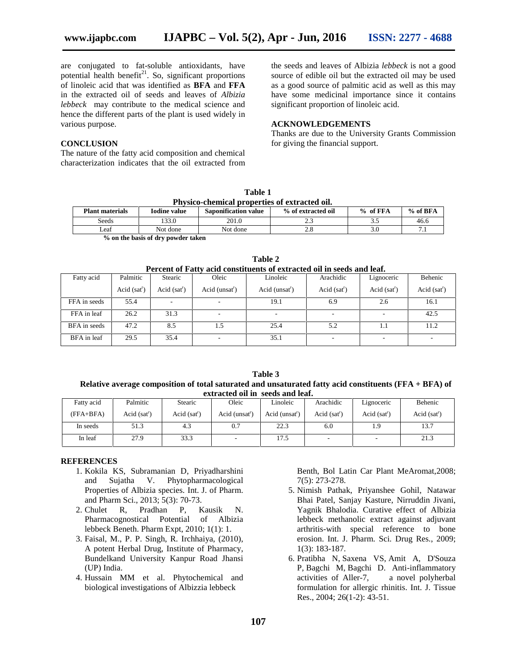are conjugated to fat-soluble antioxidants, have potential health benefit<sup>21</sup>. So, significant proportions of linoleic acid that was identified as **BFA** and **FFA** in the extracted oil of seeds and leaves of *Albizia lebbeck* may contribute to the medical science and hence the different parts of the plant is used widely in various purpose.

#### **CONCLUSION**

The nature of the fatty acid composition and chemical characterization indicates that the oil extracted from

the seeds and leaves of Albizia *lebbeck* is not a good source of edible oil but the extracted oil may be used as a good source of palmitic acid as well as this may have some medicinal importance since it contains significant proportion of linoleic acid.

#### **ACKNOWLEDGEMENTS**

Thanks are due to the University Grants Commission for giving the financial support.

| Table 1                                       |  |
|-----------------------------------------------|--|
| Physico-chemical properties of extracted oil. |  |
|                                               |  |

| <b>Plant materials</b> | <b>Saponification value</b><br><b>Iodine</b> value |          | % of extracted oil | of FFA<br>$\frac{6}{10}$ | $%$ of BFA |  |
|------------------------|----------------------------------------------------|----------|--------------------|--------------------------|------------|--|
| Seeds                  | 133.0                                              | 201.0    | ن. ت               |                          | 46.6       |  |
| Leaf                   | Not done                                           | Not done | $\sim$ . O         | .JU                      | .          |  |
| $\sim$<br>$\sim$       | . .                                                |          |                    |                          |            |  |

**% on the basis of dry powder taken**

| Percent of Fatty acid constituents of extracted oil in seeds and leaf. |              |              |                            |                |              |              |              |  |
|------------------------------------------------------------------------|--------------|--------------|----------------------------|----------------|--------------|--------------|--------------|--|
| Fatty acid                                                             | Palmitic     | Stearic      | Oleic                      | Linoleic       | Arachidic    | Lignoceric   | Behenic      |  |
|                                                                        | Acid $(sat)$ | Acid $(sat)$ | Acid (unsat <sup>r</sup> ) | Acid $(unsat)$ | Acid $(sat)$ | Acid $(sat)$ | Acid $(sat)$ |  |
| FFA in seeds                                                           | 55.4         |              | ۰                          | 19.1           | 6.9          | 2.6          | 16.1         |  |
| FFA in leaf                                                            | 26.2         | 31.3         | $\overline{\phantom{a}}$   |                | ۰            |              | 42.5         |  |
| <b>BFA</b> in seeds                                                    | 47.2         | 8.5          | 1.5                        | 25.4           | 5.2          | 1.1          | 11.2         |  |
| BFA in leaf                                                            | 29.5         | 35.4         | ۰                          | 35.1           | ٠            |              |              |  |

**Table 2**

**Table 3 Relative average composition of total saturated and unsaturated fatty acid constituents (FFA + BFA) of extracted oil in seeds and leaf.**

| Fatty acid  | Palmitic     | Stearic      | Oleic                      | Linoleic                   | Arachidic    | Lignoceric   | Behenic      |
|-------------|--------------|--------------|----------------------------|----------------------------|--------------|--------------|--------------|
| $(FFA+BFA)$ | Acid $(sat)$ | Acid $(sat)$ | Acid (unsat <sup>r</sup> ) | Acid (unsat <sup>r</sup> ) | Acid $(sat)$ | Acid $(sat)$ | Acid $(sat)$ |
| In seeds    | 51.3         | 4.3          | 0.7                        | 22.3                       | 6.0          | 1.9          | 13.7         |
| In leaf     | 27.9         | 33.3         |                            | 17.5                       | -            |              | 21.3         |

#### **REFERENCES**

- 1. Kokila KS, Subramanian D, Priyadharshini and Sujatha V. Phytopharmacological Properties of Albizia species. Int. J. of Pharm. and Pharm Sci., 2013; 5(3): 70-73.
- 2. Chulet R, Pradhan P, Kausik N. Pharmacognostical Potential of Albizia lebbeck Beneth. Pharm Expt, 2010; 1(1): 1.
- 3. Faisal, M., P. P. Singh, R. Irchhaiya, (2010), A potent Herbal Drug, Institute of Pharmacy, Bundelkand University Kanpur Road Jhansi (UP) India.
- 4. Hussain MM et al. Phytochemical and biological investigations of Albizzia lebbeck

Benth, Bol Latin Car Plant MeAromat,2008; 7(5): 273-278.

- 5. Nimish Pathak, Priyanshee Gohil, Natawar Bhai Patel, Sanjay Kasture, Nirruddin Jivani, Yagnik Bhalodia. Curative effect of Albizia lebbeck methanolic extract against adjuvant arthritis-with special reference to bone erosion. Int. J. Pharm. Sci. Drug Res., 2009; 1(3): 183-187.
- 6. Pratibha N, Saxena VS, Amit A, D'Souza P, Bagchi M, Bagchi D. Anti-inflammatory activities of Aller-7, a novel polyherbal formulation for allergic rhinitis. Int. J. Tissue Res., 2004; 26(1-2): 43-51.